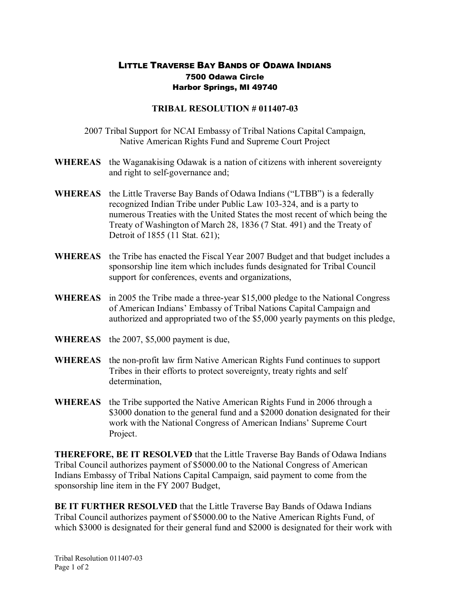## LITTLE TRAVERSE BAY BANDS OF ODAWA INDIANS 7500 Odawa Circle Harbor Springs, MI 49740

## **TRIBAL RESOLUTION # 011407-03**

2007 Tribal Support for NCAI Embassy of Tribal Nations Capital Campaign, Native American Rights Fund and Supreme Court Project

- **WHEREAS** the Waganakising Odawak is a nation of citizens with inherent sovereignty and right to self-governance and;
- **WHEREAS** the Little Traverse Bay Bands of Odawa Indians ("LTBB") is a federally recognized Indian Tribe under Public Law 103-324, and is a party to numerous Treaties with the United States the most recent of which being the Treaty of Washington of March 28, 1836 (7 Stat. 491) and the Treaty of Detroit of 1855 (11 Stat. 621);
- **WHEREAS** the Tribe has enacted the Fiscal Year 2007 Budget and that budget includes a sponsorship line item which includes funds designated for Tribal Council support for conferences, events and organizations,
- **WHEREAS** in 2005 the Tribe made a three-year \$15,000 pledge to the National Congress of American Indians' Embassy of Tribal Nations Capital Campaign and authorized and appropriated two of the \$5,000 yearly payments on this pledge,
- **WHEREAS** the 2007, \$5,000 payment is due,
- **WHEREAS** the non-profit law firm Native American Rights Fund continues to support Tribes in their efforts to protect sovereignty, treaty rights and self determination,
- **WHEREAS** the Tribe supported the Native American Rights Fund in 2006 through a \$3000 donation to the general fund and a \$2000 donation designated for their work with the National Congress of American Indians' Supreme Court Project.

**THEREFORE, BE IT RESOLVED** that the Little Traverse Bay Bands of Odawa Indians Tribal Council authorizes payment of \$5000.00 to the National Congress of American Indians Embassy of Tribal Nations Capital Campaign, said payment to come from the sponsorship line item in the FY 2007 Budget,

**BE IT FURTHER RESOLVED** that the Little Traverse Bay Bands of Odawa Indians Tribal Council authorizes payment of \$5000.00 to the Native American Rights Fund, of which \$3000 is designated for their general fund and \$2000 is designated for their work with